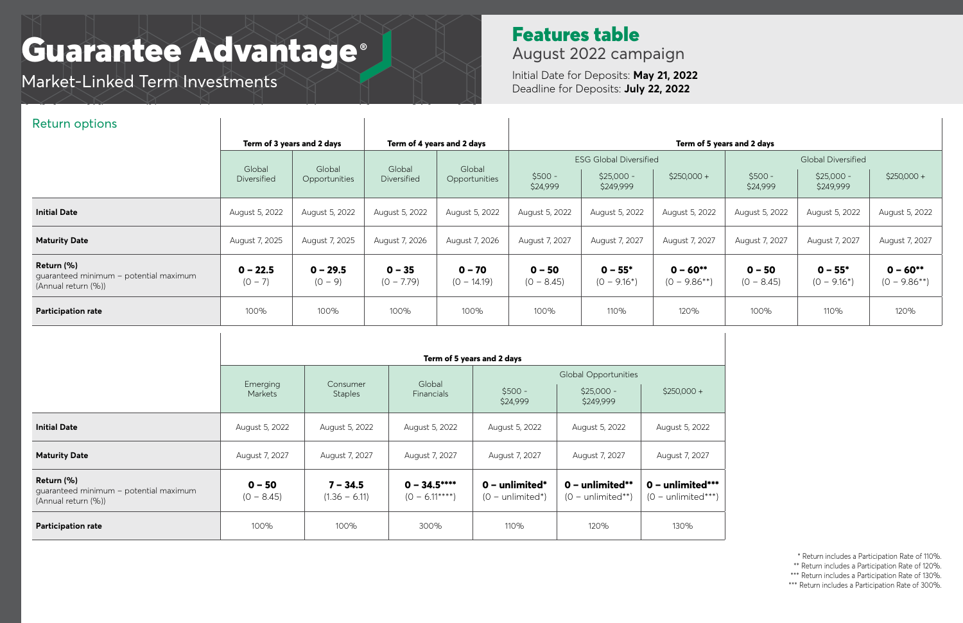## Features table August 2022 campaign

Initial Date for Deposits: **May 21, 2022** Deadline for Deposits: **July 22, 2022**

# Guarantee Advantage **®**

Market-Linked Term Investments

| <b>Return options</b>                                                       |                            |                         |                            |                           |                            |                                                           |                                 |                          |                                                       |                                 |
|-----------------------------------------------------------------------------|----------------------------|-------------------------|----------------------------|---------------------------|----------------------------|-----------------------------------------------------------|---------------------------------|--------------------------|-------------------------------------------------------|---------------------------------|
|                                                                             | Term of 3 years and 2 days |                         | Term of 4 years and 2 days |                           | Term of 5 years and 2 days |                                                           |                                 |                          |                                                       |                                 |
|                                                                             | Global<br>Diversified      | Global<br>Opportunities | Global<br>Diversified      | Global<br>Opportunities   | $$500 -$<br>\$24,999       | <b>ESG Global Diversified</b><br>$$25,000 -$<br>\$249,999 | $$250,000 +$                    | $$500 -$<br>\$24,999     | <b>Global Diversified</b><br>$$25,000 -$<br>\$249,999 | $$250,000 +$                    |
| <b>Initial Date</b>                                                         | August 5, 2022             | August 5, 2022          | August 5, 2022             | August 5, 2022            | August 5, 2022             | August 5, 2022                                            | August 5, 2022                  | August 5, 2022           | August 5, 2022                                        | August 5, 2022                  |
| <b>Maturity Date</b>                                                        | August 7, 2025             | August 7, 2025          | August 7, 2026             | August 7, 2026            | August 7, 2027             | August 7, 2027                                            | August 7, 2027                  | August 7, 2027           | August 7, 2027                                        | August 7, 2027                  |
| Return (%)<br>guaranteed minimum - potential maximum<br>(Annual return (%)) | $0 - 22.5$<br>$(0 - 7)$    | $0 - 29.5$<br>$(0 - 9)$ | $0 - 35$<br>$(0 - 7.79)$   | $0 - 70$<br>$(O - 14.19)$ | $0 - 50$<br>$(0 - 8.45)$   | $0 - 55*$<br>$(0 - 9.16^*)$                               | $0 - 60**$<br>$(0 - 9.86^{**})$ | $0 - 50$<br>$(0 - 8.45)$ | $0 - 55*$<br>$(0 - 9.16^*)$                           | $0 - 60**$<br>$(0 - 9.86^{**})$ |
| <b>Participation rate</b>                                                   | 100%                       | 100%                    | 100%                       | 100%                      | 100%                       | 110%                                                      | 120%                            | 100%                     | 110%                                                  | 120%                            |

- \*\* Return includes a Participation Rate of 120%. \*\*\* Return includes a Participation Rate of 130%.
- \*\*\* Return includes a Participation Rate of 300%.

|                                                                             | Term of 5 years and 2 days |                               |                                  |                                                                                 |                                                 |                                                   |  |
|-----------------------------------------------------------------------------|----------------------------|-------------------------------|----------------------------------|---------------------------------------------------------------------------------|-------------------------------------------------|---------------------------------------------------|--|
|                                                                             | Emerging<br>Markets        | Consumer<br><b>Staples</b>    | Global<br>Financials             | <b>Global Opportunities</b><br>$$500 -$<br>$$25,000 -$<br>\$24,999<br>\$249,999 |                                                 | $$250,000 +$                                      |  |
| <b>Initial Date</b>                                                         | August 5, 2022             | August 5, 2022                | August 5, 2022                   | August 5, 2022                                                                  | August 5, 2022                                  | August 5, 2022                                    |  |
| <b>Maturity Date</b>                                                        | August 7, 2027             | August 7, 2027                | August 7, 2027                   | August 7, 2027                                                                  | August 7, 2027                                  | August 7, 2027                                    |  |
| Return (%)<br>quaranteed minimum - potential maximum<br>(Annual return (%)) | $0 - 50$<br>$(0 - 8.45)$   | $7 - 34.5$<br>$(1.36 - 6.11)$ | $0 - 34.5***$<br>$(0 - 6.11***)$ | $0$ – unlimited*<br>$(0 - \text{unlimited*})$                                   | $0$ – unlimited**<br>$(0 - \text{unlimited**})$ | $0$ – unlimited***<br>$(0 - \text{unlimited***})$ |  |
| <b>Participation rate</b>                                                   | 100%                       | 100%                          | 300%                             | 110%                                                                            | 120%                                            | 130%                                              |  |



\* Return includes a Participation Rate of 110%.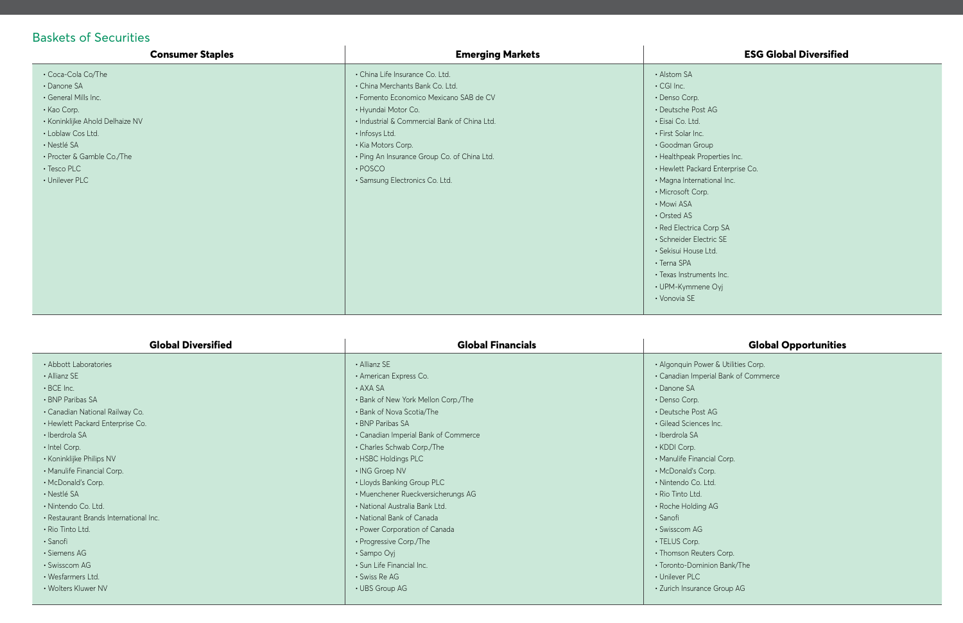## Baskets of Securities

• Goodman Group operties Inc. rd Enterprise Co. tional Inc.

Corp SA etric SE Ltd.

ents Inc. 1e Oyj

#### **ESG Global Diversified**

 $t$  AG

| <b>Consumer Staples</b>                                                                                                                                                                                        | <b>Emerging Markets</b>                                                                                                                                                                                                                                                                                                       |                                                                                                                                                                                                                                                                                                                                                                                     |
|----------------------------------------------------------------------------------------------------------------------------------------------------------------------------------------------------------------|-------------------------------------------------------------------------------------------------------------------------------------------------------------------------------------------------------------------------------------------------------------------------------------------------------------------------------|-------------------------------------------------------------------------------------------------------------------------------------------------------------------------------------------------------------------------------------------------------------------------------------------------------------------------------------------------------------------------------------|
| • Coca-Cola Co/The<br>• Danone SA<br>• General Mills Inc.<br>• Kao Corp.<br>· Koninklijke Ahold Delhaize NV<br>· Loblaw Cos Ltd.<br>· Nestlé SA<br>• Procter & Gamble Co./The<br>• Tesco PLC<br>• Unilever PLC | · China Life Insurance Co. Ltd.<br>· China Merchants Bank Co. Ltd.<br>· Fomento Economico Mexicano SAB de CV<br>• Hyundai Motor Co.<br>· Industrial & Commercial Bank of China Ltd.<br>· Infosys Ltd.<br>• Kia Motors Corp.<br>• Ping An Insurance Group Co. of China Ltd.<br>$\cdot$ POSCO<br>· Samsung Electronics Co. Ltd. | • Alstom SA<br>$\cdot$ CGI Inc.<br>• Denso Corp.<br>· Deutsche Post<br>· Eisai Co. Ltd.<br>• First Solar Inc.<br>· Goodman Grou<br>• Healthpeak Pro<br>• Hewlett Packard<br>· Magna Internati<br>• Microsoft Corp.<br>• Mowi ASA<br>• Orsted AS<br>· Red Electrica C<br>· Schneider Elect<br>· Sekisui House L<br>• Terna SPA<br>· Texas Instrumer<br>• UPM-Kymmene<br>• Vonovia SE |
|                                                                                                                                                                                                                |                                                                                                                                                                                                                                                                                                                               |                                                                                                                                                                                                                                                                                                                                                                                     |

• Deutsche Post AG  $\frac{1}{2}$  lnc.

ial Corp. rp. td.

 $AG$ 

ers Corp. iion Bank/The

e Group AG

| <b>Global Diversified</b>              | <b>Global Financials</b>             |                    |
|----------------------------------------|--------------------------------------|--------------------|
| • Abbott Laboratories                  | • Allianz SE                         | • Algonquin Powe   |
| • Allianz SE                           | • American Express Co.               | · Canadian Imper   |
| $\cdot$ BCE Inc.                       | $\cdot$ AXA SA                       | $\cdot$ Danone SA  |
| • BNP Paribas SA                       | • Bank of New York Mellon Corp./The  | • Denso Corp.      |
| • Canadian National Railway Co.        | • Bank of Nova Scotia/The            | • Deutsche Post /  |
| • Hewlett Packard Enterprise Co.       | • BNP Paribas SA                     | · Gilead Sciences  |
| • Iberdrola SA                         | • Canadian Imperial Bank of Commerce | · Iberdrola SA     |
| · Intel Corp.                          | • Charles Schwab Corp./The           | • KDDI Corp.       |
| • Koninklijke Philips NV               | • HSBC Holdings PLC                  | · Manulife Financi |
| • Manulife Financial Corp.             | • ING Groep NV                       | • McDonald's Cor   |
| • McDonald's Corp.                     | • Lloyds Banking Group PLC           | · Nintendo Co. Lt  |
| · Nestlé SA                            | · Muenchener Rueckversicherungs AG   | • Rio Tinto Ltd.   |
| · Nintendo Co. Ltd.                    | • National Australia Bank Ltd.       | · Roche Holding    |
| • Restaurant Brands International Inc. | • National Bank of Canada            | · Sanofi           |
| • Rio Tinto Ltd.                       | • Power Corporation of Canada        | • Swisscom AG      |
| · Sanofi                               | • Progressive Corp./The              | • TELUS Corp.      |
| • Siemens AG                           | • Sampo Oyj                          | • Thomson Reute    |
| • Swisscom AG                          | • Sun Life Financial Inc.            | · Toronto-Domini   |
| · Wesfarmers Ltd.                      | · Swiss Re AG                        | • Unilever PLC     |
| • Wolters Kluwer NV                    | • UBS Group AG                       | · Zurich Insurance |
|                                        |                                      |                    |

#### **Global Opportunities**

er & Utilities Corp. rial Bank of Commerce